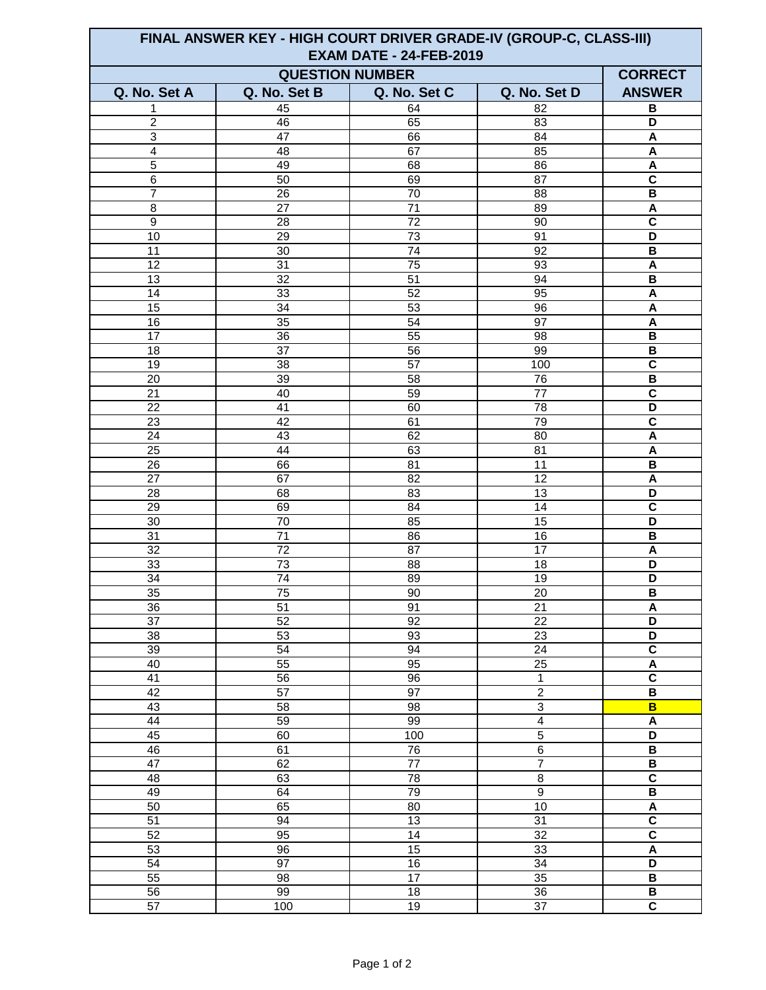| FINAL ANSWER KEY - HIGH COURT DRIVER GRADE-IV (GROUP-C, CLASS-III)<br><b>EXAM DATE - 24-FEB-2019</b> |                 |                 |                 |                              |  |  |
|------------------------------------------------------------------------------------------------------|-----------------|-----------------|-----------------|------------------------------|--|--|
| <b>QUESTION NUMBER</b><br><b>CORRECT</b>                                                             |                 |                 |                 |                              |  |  |
| Q. No. Set A                                                                                         | Q. No. Set B    | Q. No. Set C    | Q. No. Set D    | <b>ANSWER</b>                |  |  |
| 1                                                                                                    | 45              | 64              | 82              | B                            |  |  |
| $\overline{2}$                                                                                       | 46              | 65              | $\overline{83}$ | D                            |  |  |
| $\overline{3}$                                                                                       | 47              | 66              | 84              | $\boldsymbol{\mathsf{A}}$    |  |  |
| $\overline{4}$                                                                                       | 48              | 67              | 85              | A                            |  |  |
| $\overline{5}$                                                                                       | 49              | 68              | 86              | A                            |  |  |
| $\overline{6}$                                                                                       | 50              | 69              | 87              | $\mathbf c$                  |  |  |
| $\overline{7}$                                                                                       | 26              | 70              | 88              | B                            |  |  |
| 8                                                                                                    | 27              | 71              | 89              | A                            |  |  |
| $\overline{9}$                                                                                       | 28              | $\overline{72}$ | 90              | $\overline{\mathsf{c}}$      |  |  |
| 10                                                                                                   | 29              | $\overline{73}$ | 91              | $\overline{\mathsf{D}}$      |  |  |
| 11                                                                                                   | 30              | 74              | 92              | B                            |  |  |
| 12                                                                                                   | $\overline{31}$ | $\overline{75}$ | 93              | A                            |  |  |
| 13                                                                                                   | 32              | 51              | 94              | B                            |  |  |
| 14                                                                                                   | 33              | $\overline{52}$ | 95              | $\boldsymbol{\mathsf{A}}$    |  |  |
| 15                                                                                                   | 34              | 53              | 96              | A                            |  |  |
| 16                                                                                                   | 35              | 54              | 97              | A                            |  |  |
| 17                                                                                                   | 36              | 55              | 98              | B                            |  |  |
| 18                                                                                                   | 37              | 56              | 99              | $\, {\bf B}$                 |  |  |
| 19                                                                                                   | $\overline{38}$ | $\overline{57}$ | 100             | $\overline{\mathsf{c}}$      |  |  |
| $\overline{20}$                                                                                      | 39              | 58              | 76              | $\overline{\mathbf{B}}$      |  |  |
| 21                                                                                                   | 40              | 59              | 77              | $\overline{\mathbf{c}}$      |  |  |
| $\overline{22}$                                                                                      | 41              | 60              | $\overline{78}$ | $\overline{\mathsf{D}}$      |  |  |
| 23                                                                                                   | 42              | 61              | 79              | $\mathbf c$                  |  |  |
| $\overline{24}$                                                                                      | 43              | 62              | 80              | A                            |  |  |
| 25                                                                                                   | 44              | 63              | 81              | A                            |  |  |
| 26                                                                                                   | 66              | 81              | 11              | B                            |  |  |
| 27                                                                                                   | 67              | 82              | 12              | A                            |  |  |
| 28                                                                                                   | 68              | 83              | 13              | D                            |  |  |
| 29                                                                                                   | 69              | 84              | 14              | $\overline{\mathsf{c}}$      |  |  |
| 30                                                                                                   | $\overline{70}$ | 85              | 15              | $\overline{\mathsf{D}}$      |  |  |
| $\overline{31}$                                                                                      | $\overline{71}$ | 86              | $\overline{16}$ | $\overline{\mathsf{B}}$      |  |  |
| $\overline{32}$                                                                                      | $\overline{72}$ | $\overline{87}$ | $\overline{17}$ | A                            |  |  |
| 33                                                                                                   | 73              | 88              | 18              | D                            |  |  |
| 34                                                                                                   | 74              | 89              | 19              | D                            |  |  |
| 35                                                                                                   | $\overline{75}$ | 90              | 20              | B                            |  |  |
| $\overline{36}$                                                                                      | $\overline{51}$ | 91              | $\overline{21}$ | A                            |  |  |
| $\overline{37}$                                                                                      | 52              | 92              | 22              | D                            |  |  |
| $\overline{38}$                                                                                      | 53              | 93              | 23              | D                            |  |  |
| 39                                                                                                   | 54              | 94              | $\overline{24}$ | $\overline{\mathsf{c}}$      |  |  |
| 40                                                                                                   | 55              | 95              | $\overline{25}$ | $\overline{A}$               |  |  |
| 41                                                                                                   | 56              | 96              | $\mathbf{1}$    | $\overline{\mathsf{c}}$      |  |  |
| $\overline{42}$                                                                                      | 57              | 97              | $\overline{2}$  | $\overline{\mathsf{B}}$      |  |  |
| 43                                                                                                   | $\overline{58}$ | 98              | $\overline{3}$  | B                            |  |  |
| 44                                                                                                   | 59              | 99              | $\overline{4}$  | $\boldsymbol{\mathsf{A}}$    |  |  |
| 45                                                                                                   | 60              | 100             | $\overline{5}$  | D                            |  |  |
| 46                                                                                                   | 61              | 76              | $\overline{6}$  | B                            |  |  |
| 47                                                                                                   | 62              | $\overline{77}$ | $\overline{7}$  | B                            |  |  |
| 48                                                                                                   | 63              | $\overline{78}$ | $\bf 8$         | $\overline{\mathbf{c}}$      |  |  |
| 49                                                                                                   | 64              | 79              | $\overline{9}$  | $\overline{B}$               |  |  |
| 50                                                                                                   | 65              | $\overline{80}$ | 10              | $\overline{A}$               |  |  |
| 51                                                                                                   | 94              | 13              | $\overline{31}$ | $\overline{\mathsf{c}}$      |  |  |
| 52                                                                                                   | 95              | 14              | 32              | $\overline{\mathsf{c}}$      |  |  |
| 53                                                                                                   | $\overline{96}$ | $\overline{15}$ | 33              | $\pmb{\mathsf{A}}$           |  |  |
| 54                                                                                                   | 97              | 16              | $\overline{34}$ | $\overline{D}$               |  |  |
| 55                                                                                                   | 98<br>99        | 17              | 35              | $\, {\bf B}$                 |  |  |
| $\overline{56}$<br>$\overline{57}$                                                                   |                 | $\overline{18}$ | 36              | B<br>$\overline{\mathsf{c}}$ |  |  |
|                                                                                                      | 100             | 19              | 37              |                              |  |  |